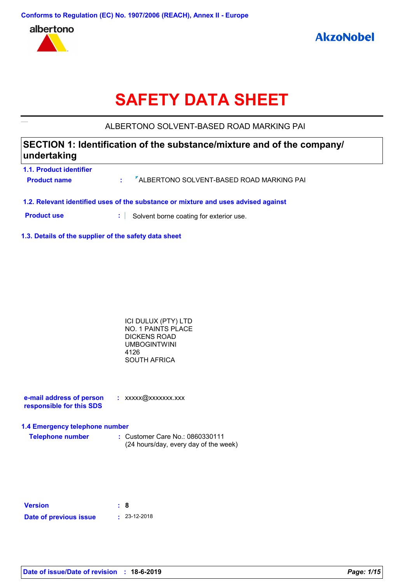

# **SAFETY DATA SHEET**

### ALBERTONO SOLVENT-BASED ROAD MARKING PAI

### **SECTION 1: Identification of the substance/mixture and of the company/ undertaking**

| <b>1.1. Product identifier</b><br><b>Product name</b>                              |  | : <sup>7</sup> ALBERTONO SOLVENT-BASED ROAD MARKING PAI |  |
|------------------------------------------------------------------------------------|--|---------------------------------------------------------|--|
| 1.2. Relevant identified uses of the substance or mixture and uses advised against |  |                                                         |  |
| <b>Product use</b>                                                                 |  | Solvent borne coating for exterior use.                 |  |

**1.3. Details of the supplier of the safety data sheet**

| ICI DULUX (PTY) LTD |  |
|---------------------|--|
| NO. 1 PAINTS PLACE  |  |
| DICKENS ROAD        |  |
| UMBOGINTWINI        |  |
| 4126                |  |
| SOUTH AFRICA        |  |
|                     |  |

| e-mail address of person | : xxxxx@xxxxxxx.xxx |
|--------------------------|---------------------|
| responsible for this SDS |                     |

#### **1.4 Emergency telephone number**

| <b>Telephone number</b> | : Customer Care No.: 0860330111       |  |
|-------------------------|---------------------------------------|--|
|                         | (24 hours/day, every day of the week) |  |

| <b>Version</b>         | : 8                  |
|------------------------|----------------------|
| Date of previous issue | $\pm 23 - 12 - 2018$ |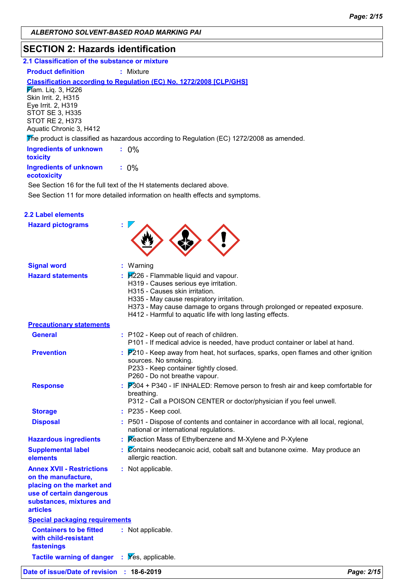### **SECTION 2: Hazards identification**

| 2.1 Classification of the substance or mixture |  |
|------------------------------------------------|--|
|------------------------------------------------|--|

**Product definition : Mixture** 

#### **Classification according to Regulation (EC) No. 1272/2008 [CLP/GHS]**

**Flam.** Liq. 3, H226 Skin Irrit. 2, H315 Eye Irrit. 2, H319 STOT SE 3, H335 STOT RE 2, H373 Aquatic Chronic 3, H412

The product is classified as hazardous according to Regulation (EC) 1272/2008 as amended.

| <b>Ingredients of unknown</b><br>toxicity    |         |
|----------------------------------------------|---------|
| <b>Ingredients of unknown</b><br>ecotoxicity | $: 0\%$ |

See Section 11 for more detailed information on health effects and symptoms. See Section 16 for the full text of the H statements declared above.

| <b>2.2 Label elements</b>                                                                                                                                       |                                                                                                                                                                                                                                                                                                                                                                     |
|-----------------------------------------------------------------------------------------------------------------------------------------------------------------|---------------------------------------------------------------------------------------------------------------------------------------------------------------------------------------------------------------------------------------------------------------------------------------------------------------------------------------------------------------------|
| <b>Hazard pictograms</b>                                                                                                                                        |                                                                                                                                                                                                                                                                                                                                                                     |
| <b>Signal word</b>                                                                                                                                              | : Warning                                                                                                                                                                                                                                                                                                                                                           |
| <b>Hazard statements</b>                                                                                                                                        | $\frac{1}{2}$ $\frac{1}{2}$ $\frac{1}{2}$ $\frac{1}{2}$ $\frac{1}{2}$ Flammable liquid and vapour.<br>H319 - Causes serious eye irritation.<br>H315 - Causes skin irritation.<br>H335 - May cause respiratory irritation.<br>H373 - May cause damage to organs through prolonged or repeated exposure.<br>H412 - Harmful to aquatic life with long lasting effects. |
| <b>Precautionary statements</b>                                                                                                                                 |                                                                                                                                                                                                                                                                                                                                                                     |
| <b>General</b>                                                                                                                                                  | : P102 - Keep out of reach of children.<br>P101 - If medical advice is needed, have product container or label at hand.                                                                                                                                                                                                                                             |
| <b>Prevention</b>                                                                                                                                               | $\frac{1}{2}$ $\overline{P}$ 210 - Keep away from heat, hot surfaces, sparks, open flames and other ignition<br>sources. No smoking.<br>P233 - Keep container tightly closed.<br>P260 - Do not breathe vapour.                                                                                                                                                      |
| <b>Response</b>                                                                                                                                                 | $\frac{1}{2}$ $\overline{P}304$ + P340 - IF INHALED: Remove person to fresh air and keep comfortable for<br>breathing.<br>P312 - Call a POISON CENTER or doctor/physician if you feel unwell.                                                                                                                                                                       |
| <b>Storage</b>                                                                                                                                                  | : P235 - Keep cool.                                                                                                                                                                                                                                                                                                                                                 |
| <b>Disposal</b>                                                                                                                                                 | : P501 - Dispose of contents and container in accordance with all local, regional,<br>national or international regulations.                                                                                                                                                                                                                                        |
| <b>Hazardous ingredients</b>                                                                                                                                    | : Reaction Mass of Ethylbenzene and M-Xylene and P-Xylene                                                                                                                                                                                                                                                                                                           |
| <b>Supplemental label</b><br>elements                                                                                                                           | $\mathcal{L}$ Contains neodecanoic acid, cobalt salt and butanone oxime. May produce an<br>allergic reaction.                                                                                                                                                                                                                                                       |
| <b>Annex XVII - Restrictions</b><br>on the manufacture,<br>placing on the market and<br>use of certain dangerous<br>substances, mixtures and<br><b>articles</b> | : Not applicable.                                                                                                                                                                                                                                                                                                                                                   |
| <b>Special packaging requirements</b>                                                                                                                           |                                                                                                                                                                                                                                                                                                                                                                     |
| <b>Containers to be fitted</b><br>with child-resistant<br>fastenings                                                                                            | : Not applicable.                                                                                                                                                                                                                                                                                                                                                   |
| <b>Tactile warning of danger : Yes, applicable.</b>                                                                                                             |                                                                                                                                                                                                                                                                                                                                                                     |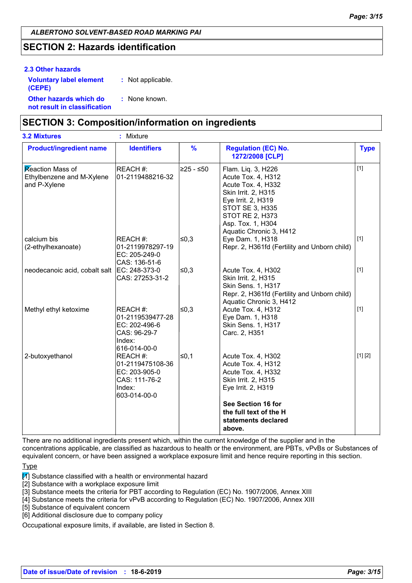### **SECTION 2: Hazards identification**

#### **Other hazards which do : not result in classification** : None known. **2.3 Other hazards Voluntary label element (CEPE) :** Not applicable.

### **SECTION 3: Composition/information on ingredients**

| <b>3.2 Mixtures</b>                                                  | Mixture<br>$\mathcal{I}^{\mathcal{I}}$                                                   |               |                                                                                                                                                                                                                 |             |
|----------------------------------------------------------------------|------------------------------------------------------------------------------------------|---------------|-----------------------------------------------------------------------------------------------------------------------------------------------------------------------------------------------------------------|-------------|
| <b>Product/ingredient name</b>                                       | <b>Identifiers</b>                                                                       | $\frac{9}{6}$ | <b>Regulation (EC) No.</b><br>1272/2008 [CLP]                                                                                                                                                                   | <b>Type</b> |
| <b>Reaction Mass of</b><br>Ethylbenzene and M-Xylene<br>and P-Xylene | REACH #:<br>01-2119488216-32                                                             | l≥25 - ≤50    | Flam. Liq. 3, H226<br>Acute Tox. 4, H312<br>Acute Tox. 4, H332<br>Skin Irrit. 2, H315<br>Eye Irrit. 2, H319<br><b>STOT SE 3, H335</b><br><b>STOT RE 2, H373</b><br>Asp. Tox. 1, H304<br>Aquatic Chronic 3, H412 | $[1]$       |
| calcium bis<br>(2-ethylhexanoate)                                    | <b>REACH#:</b><br>01-2119978297-19<br>EC: 205-249-0<br>CAS: 136-51-6                     | ≤0,3          | Eye Dam. 1, H318<br>Repr. 2, H361fd (Fertility and Unborn child)                                                                                                                                                | $[1]$       |
| neodecanoic acid, cobalt salt                                        | EC: 248-373-0<br>CAS: 27253-31-2                                                         | 50,3          | Acute Tox. 4, H302<br>Skin Irrit. 2, H315<br>Skin Sens. 1, H317<br>Repr. 2, H361fd (Fertility and Unborn child)<br>Aquatic Chronic 3, H412                                                                      | $[1]$       |
| Methyl ethyl ketoxime                                                | REACH #:<br>01-2119539477-28<br>EC: 202-496-6<br>CAS: 96-29-7<br>Index:<br>616-014-00-0  | 50,3          | Acute Tox. 4, H312<br>Eye Dam. 1, H318<br>Skin Sens. 1, H317<br>Carc. 2, H351                                                                                                                                   | $[1]$       |
| 2-butoxyethanol                                                      | REACH #:<br>01-2119475108-36<br>EC: 203-905-0<br>CAS: 111-76-2<br>Index:<br>603-014-00-0 | $\leq 0,1$    | Acute Tox. 4, H302<br>Acute Tox. 4, H312<br>Acute Tox. 4, H332<br>Skin Irrit. 2, H315<br>Eye Irrit. 2, H319                                                                                                     | [1] [2]     |
|                                                                      |                                                                                          |               | See Section 16 for<br>the full text of the H<br>statements declared<br>above.                                                                                                                                   |             |

There are no additional ingredients present which, within the current knowledge of the supplier and in the concentrations applicable, are classified as hazardous to health or the environment, are PBTs, vPvBs or Substances of equivalent concern, or have been assigned a workplace exposure limit and hence require reporting in this section.

Type

 $\mathbb{Z}$  Substance classified with a health or environmental hazard

[2] Substance with a workplace exposure limit

[3] Substance meets the criteria for PBT according to Regulation (EC) No. 1907/2006, Annex XIII

[4] Substance meets the criteria for vPvB according to Regulation (EC) No. 1907/2006, Annex XIII

[5] Substance of equivalent concern

[6] Additional disclosure due to company policy

Occupational exposure limits, if available, are listed in Section 8.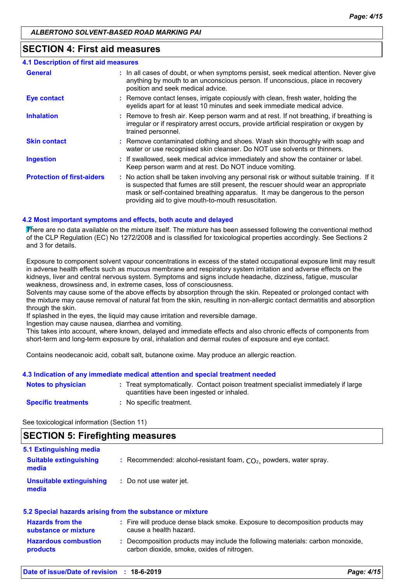#### **SECTION 4: First aid measures**

| <b>4.1 Description of first aid measures</b> |                                                                                                                                                                                                                                                                                                                         |
|----------------------------------------------|-------------------------------------------------------------------------------------------------------------------------------------------------------------------------------------------------------------------------------------------------------------------------------------------------------------------------|
| <b>General</b>                               | : In all cases of doubt, or when symptoms persist, seek medical attention. Never give<br>anything by mouth to an unconscious person. If unconscious, place in recovery<br>position and seek medical advice.                                                                                                             |
| <b>Eye contact</b>                           | : Remove contact lenses, irrigate copiously with clean, fresh water, holding the<br>eyelids apart for at least 10 minutes and seek immediate medical advice.                                                                                                                                                            |
| <b>Inhalation</b>                            | : Remove to fresh air. Keep person warm and at rest. If not breathing, if breathing is<br>irregular or if respiratory arrest occurs, provide artificial respiration or oxygen by<br>trained personnel.                                                                                                                  |
| <b>Skin contact</b>                          | : Remove contaminated clothing and shoes. Wash skin thoroughly with soap and<br>water or use recognised skin cleanser. Do NOT use solvents or thinners.                                                                                                                                                                 |
| <b>Ingestion</b>                             | : If swallowed, seek medical advice immediately and show the container or label.<br>Keep person warm and at rest. Do NOT induce vomiting.                                                                                                                                                                               |
| <b>Protection of first-aiders</b>            | : No action shall be taken involving any personal risk or without suitable training. If it<br>is suspected that fumes are still present, the rescuer should wear an appropriate<br>mask or self-contained breathing apparatus. It may be dangerous to the person<br>providing aid to give mouth-to-mouth resuscitation. |

#### **4.2 Most important symptoms and effects, both acute and delayed**

There are no data available on the mixture itself. The mixture has been assessed following the conventional method of the CLP Regulation (EC) No 1272/2008 and is classified for toxicological properties accordingly. See Sections 2 and 3 for details.

Exposure to component solvent vapour concentrations in excess of the stated occupational exposure limit may result in adverse health effects such as mucous membrane and respiratory system irritation and adverse effects on the kidneys, liver and central nervous system. Symptoms and signs include headache, dizziness, fatigue, muscular weakness, drowsiness and, in extreme cases, loss of consciousness.

Solvents may cause some of the above effects by absorption through the skin. Repeated or prolonged contact with the mixture may cause removal of natural fat from the skin, resulting in non-allergic contact dermatitis and absorption through the skin.

If splashed in the eyes, the liquid may cause irritation and reversible damage.

Ingestion may cause nausea, diarrhea and vomiting.

This takes into account, where known, delayed and immediate effects and also chronic effects of components from short-term and long-term exposure by oral, inhalation and dermal routes of exposure and eye contact.

Contains neodecanoic acid, cobalt salt, butanone oxime. May produce an allergic reaction.

#### **4.3 Indication of any immediate medical attention and special treatment needed**

| Notes to physician         | Treat symptomatically. Contact poison treatment specialist immediately if large<br>quantities have been ingested or inhaled. |
|----------------------------|------------------------------------------------------------------------------------------------------------------------------|
| <b>Specific treatments</b> | No specific treatment.                                                                                                       |

See toxicological information (Section 11)

### **SECTION 5: Firefighting measures**

| 5.1 Extinguishing media                |                                                                      |
|----------------------------------------|----------------------------------------------------------------------|
| <b>Suitable extinguishing</b><br>media | : Recommended: alcohol-resistant foam, $CO2$ , powders, water spray. |
| Unsuitable extinguishing<br>media      | : Do not use water jet.                                              |

#### **5.2 Special hazards arising from the substance or mixture**

| <b>Hazards from the</b><br>substance or mixture | : Fire will produce dense black smoke. Exposure to decomposition products may<br>cause a health hazard.                    |
|-------------------------------------------------|----------------------------------------------------------------------------------------------------------------------------|
| <b>Hazardous combustion</b><br><b>products</b>  | Decomposition products may include the following materials: carbon monoxide,<br>carbon dioxide, smoke, oxides of nitrogen. |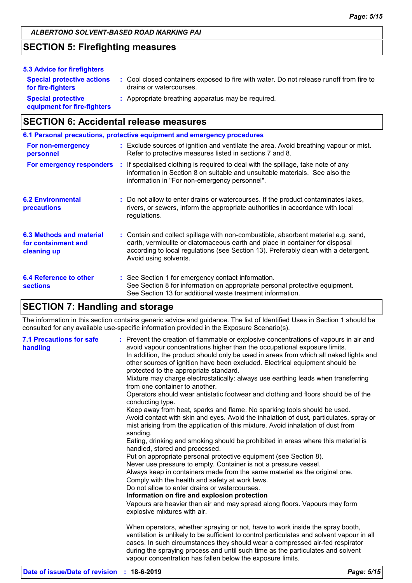### **SECTION 5: Firefighting measures**

| 5.3 Advice for firefighters                              |                                                                                                                    |
|----------------------------------------------------------|--------------------------------------------------------------------------------------------------------------------|
| <b>Special protective actions</b><br>for fire-fighters   | : Cool closed containers exposed to fire with water. Do not release runoff from fire to<br>drains or watercourses. |
| <b>Special protective</b><br>equipment for fire-fighters | : Appropriate breathing apparatus may be required.                                                                 |

### **SECTION 6: Accidental release measures**

|                                                                | 6.1 Personal precautions, protective equipment and emergency procedures                                                                                                                                                                                                            |
|----------------------------------------------------------------|------------------------------------------------------------------------------------------------------------------------------------------------------------------------------------------------------------------------------------------------------------------------------------|
| For non-emergency<br>personnel                                 | : Exclude sources of ignition and ventilate the area. Avoid breathing vapour or mist.<br>Refer to protective measures listed in sections 7 and 8.                                                                                                                                  |
| For emergency responders                                       | : If specialised clothing is required to deal with the spillage, take note of any<br>information in Section 8 on suitable and unsuitable materials. See also the<br>information in "For non-emergency personnel".                                                                  |
| <b>6.2 Environmental</b><br>precautions                        | : Do not allow to enter drains or watercourses. If the product contaminates lakes,<br>rivers, or sewers, inform the appropriate authorities in accordance with local<br>regulations.                                                                                               |
| 6.3 Methods and material<br>for containment and<br>cleaning up | : Contain and collect spillage with non-combustible, absorbent material e.g. sand,<br>earth, vermiculite or diatomaceous earth and place in container for disposal<br>according to local regulations (see Section 13). Preferably clean with a detergent.<br>Avoid using solvents. |
| 6.4 Reference to other<br><b>sections</b>                      | : See Section 1 for emergency contact information.<br>See Section 8 for information on appropriate personal protective equipment.<br>See Section 13 for additional waste treatment information.                                                                                    |

### **SECTION 7: Handling and storage**

The information in this section contains generic advice and guidance. The list of Identified Uses in Section 1 should be consulted for any available use-specific information provided in the Exposure Scenario(s).

| <b>7.1 Precautions for safe</b><br>handling | : Prevent the creation of flammable or explosive concentrations of vapours in air and<br>avoid vapour concentrations higher than the occupational exposure limits.<br>In addition, the product should only be used in areas from which all naked lights and<br>other sources of ignition have been excluded. Electrical equipment should be<br>protected to the appropriate standard.<br>Mixture may charge electrostatically: always use earthing leads when transferring<br>from one container to another.<br>Operators should wear antistatic footwear and clothing and floors should be of the<br>conducting type.<br>Keep away from heat, sparks and flame. No sparking tools should be used.<br>Avoid contact with skin and eyes. Avoid the inhalation of dust, particulates, spray or<br>mist arising from the application of this mixture. Avoid inhalation of dust from<br>sanding.<br>Eating, drinking and smoking should be prohibited in areas where this material is<br>handled, stored and processed.<br>Put on appropriate personal protective equipment (see Section 8).<br>Never use pressure to empty. Container is not a pressure vessel.<br>Always keep in containers made from the same material as the original one.<br>Comply with the health and safety at work laws.<br>Do not allow to enter drains or watercourses.<br>Information on fire and explosion protection<br>Vapours are heavier than air and may spread along floors. Vapours may form<br>explosive mixtures with air. |
|---------------------------------------------|--------------------------------------------------------------------------------------------------------------------------------------------------------------------------------------------------------------------------------------------------------------------------------------------------------------------------------------------------------------------------------------------------------------------------------------------------------------------------------------------------------------------------------------------------------------------------------------------------------------------------------------------------------------------------------------------------------------------------------------------------------------------------------------------------------------------------------------------------------------------------------------------------------------------------------------------------------------------------------------------------------------------------------------------------------------------------------------------------------------------------------------------------------------------------------------------------------------------------------------------------------------------------------------------------------------------------------------------------------------------------------------------------------------------------------------------------------------------------------------------------------------|
|                                             | When operators, whether spraying or not, have to work inside the spray booth,<br>ventilation is unlikely to be sufficient to control particulates and solvent vapour in all<br>cases. In such circumstances they should wear a compressed air-fed respirator<br>during the spraying process and until such time as the particulates and solvent<br>vapour concentration has fallen below the exposure limits.                                                                                                                                                                                                                                                                                                                                                                                                                                                                                                                                                                                                                                                                                                                                                                                                                                                                                                                                                                                                                                                                                                |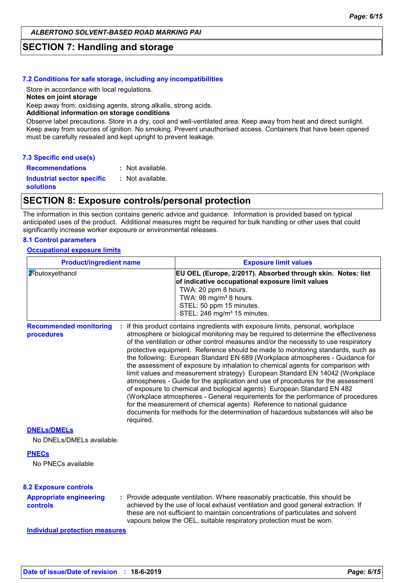### **SECTION 7: Handling and storage**

#### **7.2 Conditions for safe storage, including any incompatibilities**

Store in accordance with local regulations.

#### **Notes on joint storage**

Keep away from: oxidising agents, strong alkalis, strong acids.

#### **Additional information on storage conditions**

Observe label precautions. Store in a dry, cool and well-ventilated area. Keep away from heat and direct sunlight. Keep away from sources of ignition. No smoking. Prevent unauthorised access. Containers that have been opened must be carefully resealed and kept upright to prevent leakage.

#### **7.3 Specific end use(s)**

**Recommendations :** : Not available.

**Industrial sector specific :**

: Not available.

**solutions**

#### **SECTION 8: Exposure controls/personal protection**

The information in this section contains generic advice and guidance. Information is provided based on typical anticipated uses of the product. Additional measures might be required for bulk handling or other uses that could significantly increase worker exposure or environmental releases.

#### **8.1 Control parameters**

#### **Occupational exposure limits**

| <b>Product/ingredient name</b>              |           | <b>Exposure limit values</b>                                                                                                                                                                                                                                                                                                                                                                                                                                                                                                                                                                                                                                                                                                                                                                                                                                                                                                                                                                                          |  |  |  |  |
|---------------------------------------------|-----------|-----------------------------------------------------------------------------------------------------------------------------------------------------------------------------------------------------------------------------------------------------------------------------------------------------------------------------------------------------------------------------------------------------------------------------------------------------------------------------------------------------------------------------------------------------------------------------------------------------------------------------------------------------------------------------------------------------------------------------------------------------------------------------------------------------------------------------------------------------------------------------------------------------------------------------------------------------------------------------------------------------------------------|--|--|--|--|
| 2-butoxyethanol                             |           | EU OEL (Europe, 2/2017). Absorbed through skin. Notes: list<br>of indicative occupational exposure limit values<br>TWA: 20 ppm 8 hours.<br>TWA: 98 mg/m <sup>3</sup> 8 hours.<br>STEL: 50 ppm 15 minutes.<br>STEL: 246 mg/m <sup>3</sup> 15 minutes.                                                                                                                                                                                                                                                                                                                                                                                                                                                                                                                                                                                                                                                                                                                                                                  |  |  |  |  |
| <b>Recommended monitoring</b><br>procedures | required. | : If this product contains ingredients with exposure limits, personal, workplace<br>atmosphere or biological monitoring may be required to determine the effectiveness<br>of the ventilation or other control measures and/or the necessity to use respiratory<br>protective equipment. Reference should be made to monitoring standards, such as<br>the following: European Standard EN 689 (Workplace atmospheres - Guidance for<br>the assessment of exposure by inhalation to chemical agents for comparison with<br>limit values and measurement strategy) European Standard EN 14042 (Workplace<br>atmospheres - Guide for the application and use of procedures for the assessment<br>of exposure to chemical and biological agents) European Standard EN 482<br>(Workplace atmospheres - General requirements for the performance of procedures<br>for the measurement of chemical agents) Reference to national guidance<br>documents for methods for the determination of hazardous substances will also be |  |  |  |  |
| <b>DNELs/DMELs</b>                          |           |                                                                                                                                                                                                                                                                                                                                                                                                                                                                                                                                                                                                                                                                                                                                                                                                                                                                                                                                                                                                                       |  |  |  |  |
| No DNELs/DMELs available.                   |           |                                                                                                                                                                                                                                                                                                                                                                                                                                                                                                                                                                                                                                                                                                                                                                                                                                                                                                                                                                                                                       |  |  |  |  |
| <b>PNECs</b><br>No PNECs available          |           |                                                                                                                                                                                                                                                                                                                                                                                                                                                                                                                                                                                                                                                                                                                                                                                                                                                                                                                                                                                                                       |  |  |  |  |
| <b>8.2 Exposure controls</b>                |           |                                                                                                                                                                                                                                                                                                                                                                                                                                                                                                                                                                                                                                                                                                                                                                                                                                                                                                                                                                                                                       |  |  |  |  |
| <b>Appropriate engineering</b><br>controls  |           | : Provide adequate ventilation. Where reasonably practicable, this should be<br>achieved by the use of local exhaust ventilation and good general extraction. If<br>these are not sufficient to maintain concentrations of particulates and solvent<br>vapours below the OEL, suitable respiratory protection must be worn.                                                                                                                                                                                                                                                                                                                                                                                                                                                                                                                                                                                                                                                                                           |  |  |  |  |
| <b>Individual protection measures</b>       |           |                                                                                                                                                                                                                                                                                                                                                                                                                                                                                                                                                                                                                                                                                                                                                                                                                                                                                                                                                                                                                       |  |  |  |  |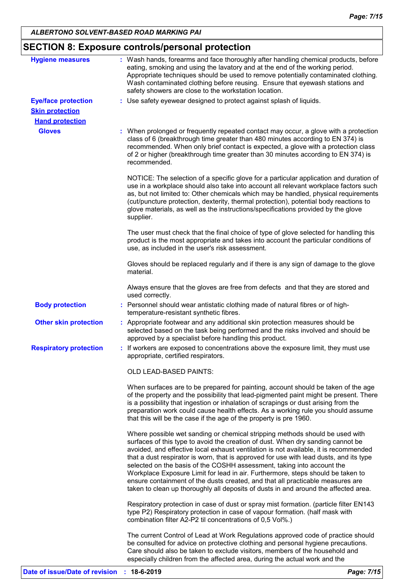| <b>Hygiene measures</b>       | : Wash hands, forearms and face thoroughly after handling chemical products, before                                                                                                                                                                                                                                                                                                                                                                                                                                                                                                                                                                                                     |
|-------------------------------|-----------------------------------------------------------------------------------------------------------------------------------------------------------------------------------------------------------------------------------------------------------------------------------------------------------------------------------------------------------------------------------------------------------------------------------------------------------------------------------------------------------------------------------------------------------------------------------------------------------------------------------------------------------------------------------------|
|                               | eating, smoking and using the lavatory and at the end of the working period.<br>Appropriate techniques should be used to remove potentially contaminated clothing.<br>Wash contaminated clothing before reusing. Ensure that eyewash stations and<br>safety showers are close to the workstation location.                                                                                                                                                                                                                                                                                                                                                                              |
| <b>Eye/face protection</b>    | : Use safety eyewear designed to protect against splash of liquids.                                                                                                                                                                                                                                                                                                                                                                                                                                                                                                                                                                                                                     |
| <b>Skin protection</b>        |                                                                                                                                                                                                                                                                                                                                                                                                                                                                                                                                                                                                                                                                                         |
| <b>Hand protection</b>        |                                                                                                                                                                                                                                                                                                                                                                                                                                                                                                                                                                                                                                                                                         |
| <b>Gloves</b>                 | : When prolonged or frequently repeated contact may occur, a glove with a protection<br>class of 6 (breakthrough time greater than 480 minutes according to EN 374) is<br>recommended. When only brief contact is expected, a glove with a protection class<br>of 2 or higher (breakthrough time greater than 30 minutes according to EN 374) is<br>recommended.                                                                                                                                                                                                                                                                                                                        |
|                               | NOTICE: The selection of a specific glove for a particular application and duration of<br>use in a workplace should also take into account all relevant workplace factors such<br>as, but not limited to: Other chemicals which may be handled, physical requirements<br>(cut/puncture protection, dexterity, thermal protection), potential body reactions to<br>glove materials, as well as the instructions/specifications provided by the glove<br>supplier.                                                                                                                                                                                                                        |
|                               | The user must check that the final choice of type of glove selected for handling this<br>product is the most appropriate and takes into account the particular conditions of<br>use, as included in the user's risk assessment.                                                                                                                                                                                                                                                                                                                                                                                                                                                         |
|                               | Gloves should be replaced regularly and if there is any sign of damage to the glove<br>material.                                                                                                                                                                                                                                                                                                                                                                                                                                                                                                                                                                                        |
|                               | Always ensure that the gloves are free from defects and that they are stored and<br>used correctly.                                                                                                                                                                                                                                                                                                                                                                                                                                                                                                                                                                                     |
| <b>Body protection</b>        | : Personnel should wear antistatic clothing made of natural fibres or of high-<br>temperature-resistant synthetic fibres.                                                                                                                                                                                                                                                                                                                                                                                                                                                                                                                                                               |
| <b>Other skin protection</b>  | : Appropriate footwear and any additional skin protection measures should be<br>selected based on the task being performed and the risks involved and should be<br>approved by a specialist before handling this product.                                                                                                                                                                                                                                                                                                                                                                                                                                                               |
| <b>Respiratory protection</b> | : If workers are exposed to concentrations above the exposure limit, they must use<br>appropriate, certified respirators.                                                                                                                                                                                                                                                                                                                                                                                                                                                                                                                                                               |
|                               | OLD LEAD-BASED PAINTS:                                                                                                                                                                                                                                                                                                                                                                                                                                                                                                                                                                                                                                                                  |
|                               | When surfaces are to be prepared for painting, account should be taken of the age<br>of the property and the possibility that lead-pigmented paint might be present. There<br>is a possibility that ingestion or inhalation of scrapings or dust arising from the<br>preparation work could cause health effects. As a working rule you should assume<br>that this will be the case if the age of the property is pre 1960.                                                                                                                                                                                                                                                             |
|                               | Where possible wet sanding or chemical stripping methods should be used with<br>surfaces of this type to avoid the creation of dust. When dry sanding cannot be<br>avoided, and effective local exhaust ventilation is not available, it is recommended<br>that a dust respirator is worn, that is approved for use with lead dusts, and its type<br>selected on the basis of the COSHH assessment, taking into account the<br>Workplace Exposure Limit for lead in air. Furthermore, steps should be taken to<br>ensure containment of the dusts created, and that all practicable measures are<br>taken to clean up thoroughly all deposits of dusts in and around the affected area. |
|                               | Respiratory protection in case of dust or spray mist formation. (particle filter EN143<br>type P2) Respiratory protection in case of vapour formation. (half mask with<br>combination filter A2-P2 til concentrations of 0,5 Vol%.)                                                                                                                                                                                                                                                                                                                                                                                                                                                     |
|                               | The current Control of Lead at Work Regulations approved code of practice should<br>be consulted for advice on protective clothing and personal hygiene precautions.<br>Care should also be taken to exclude visitors, members of the household and<br>especially children from the affected area, during the actual work and the                                                                                                                                                                                                                                                                                                                                                       |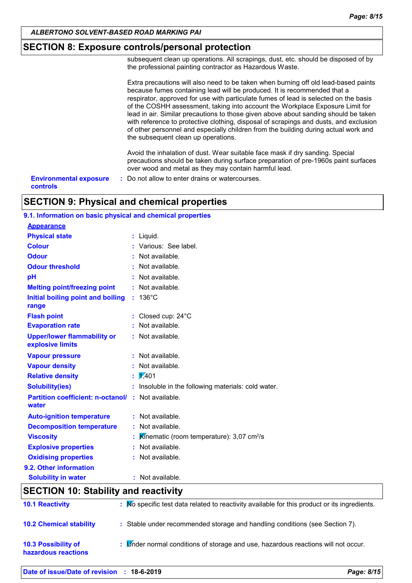#### **SECTION 8: Exposure controls/personal protection**

subsequent clean up operations. All scrapings, dust, etc. should be disposed of by the professional painting contractor as Hazardous Waste.

Extra precautions will also need to be taken when burning off old lead-based paints because fumes containing lead will be produced. It is recommended that a respirator, approved for use with particulate fumes of lead is selected on the basis of the COSHH assessment, taking into account the Workplace Exposure Limit for lead in air. Similar precautions to those given above about sanding should be taken with reference to protective clothing, disposal of scrapings and dusts, and exclusion of other personnel and especially children from the building during actual work and the subsequent clean up operations.

Avoid the inhalation of dust. Wear suitable face mask if dry sanding. Special precautions should be taken during surface preparation of pre-1960s paint surfaces over wood and metal as they may contain harmful lead.

**Environmental exposure : Do not allow to enter drains or watercourses. controls**

#### **SECTION 9: Physical and chemical properties**

#### **9.1. Information on basic physical and chemical properties**

| <b>Appearance</b>                                                                                                                                                                                                                                                                                                                                          |                                                         |
|------------------------------------------------------------------------------------------------------------------------------------------------------------------------------------------------------------------------------------------------------------------------------------------------------------------------------------------------------------|---------------------------------------------------------|
| <b>Physical state</b>                                                                                                                                                                                                                                                                                                                                      | : Liquid.                                               |
| <b>Colour</b>                                                                                                                                                                                                                                                                                                                                              | : Various: See label.                                   |
| <b>Odour</b>                                                                                                                                                                                                                                                                                                                                               | : Not available.                                        |
| <b>Odour threshold</b>                                                                                                                                                                                                                                                                                                                                     | : Not available.                                        |
| pH                                                                                                                                                                                                                                                                                                                                                         | : Not available.                                        |
| <b>Melting point/freezing point</b>                                                                                                                                                                                                                                                                                                                        | : Not available.                                        |
| Initial boiling point and boiling<br>range                                                                                                                                                                                                                                                                                                                 | $: 136^{\circ}$ C                                       |
| <b>Flash point</b>                                                                                                                                                                                                                                                                                                                                         | : Closed cup: 24°C                                      |
| <b>Evaporation rate</b>                                                                                                                                                                                                                                                                                                                                    | : Not available.                                        |
| <b>Upper/lower flammability or</b><br>explosive limits                                                                                                                                                                                                                                                                                                     | : Not available.                                        |
| <b>Vapour pressure</b>                                                                                                                                                                                                                                                                                                                                     | : Not available.                                        |
| <b>Vapour density</b>                                                                                                                                                                                                                                                                                                                                      | : Not available.                                        |
| <b>Relative density</b>                                                                                                                                                                                                                                                                                                                                    | $\frac{1}{2}$ 7.401                                     |
| <b>Solubility(ies)</b>                                                                                                                                                                                                                                                                                                                                     | : Insoluble in the following materials: cold water.     |
| Partition coefficient: n-octanol/ : Not available.<br>water                                                                                                                                                                                                                                                                                                |                                                         |
| <b>Auto-ignition temperature</b>                                                                                                                                                                                                                                                                                                                           | : Not available.                                        |
| <b>Decomposition temperature</b>                                                                                                                                                                                                                                                                                                                           | : Not available.                                        |
| <b>Viscosity</b>                                                                                                                                                                                                                                                                                                                                           | Kinematic (room temperature): $3,07$ cm <sup>2</sup> /s |
| <b>Explosive properties</b>                                                                                                                                                                                                                                                                                                                                | : Not available.                                        |
| <b>Oxidising properties</b>                                                                                                                                                                                                                                                                                                                                | : Not available.                                        |
| 9.2. Other information                                                                                                                                                                                                                                                                                                                                     |                                                         |
| <b>Solubility in water</b>                                                                                                                                                                                                                                                                                                                                 | : Not available.                                        |
| $\mathsf{A} \mathsf{F} \mathsf{A} \mathsf{F}$ l $\mathsf{A} \mathsf{I}$ , $\mathsf{A} \mathsf{A}$ , $\mathsf{A} \mathsf{I}$ , $\mathsf{I} \mathsf{I}$ , $\mathsf{I}$ , $\mathsf{I}$ , $\mathsf{I}$ , $\mathsf{I}$ , $\mathsf{I}$ , $\mathsf{I}$ , $\mathsf{I}$ , $\mathsf{I}$ , $\mathsf{I}$ , $\mathsf{I}$ , $\mathsf{I}$ , $\mathsf{I}$ , $\mathsf{I}$ , |                                                         |

## **SECTION 10: Stability and reactivity 10.2 Chemical stability :** Stable under recommended storage and handling conditions (see Section 7). **10.3 Possibility of hazardous reactions :** Under normal conditions of storage and use, hazardous reactions will not occur. **10.1 Reactivity :** No specific test data related to reactivity available for this product or its ingredients.

#### **Date of issue/Date of revision : 18-6-2019** *Page: 8/15*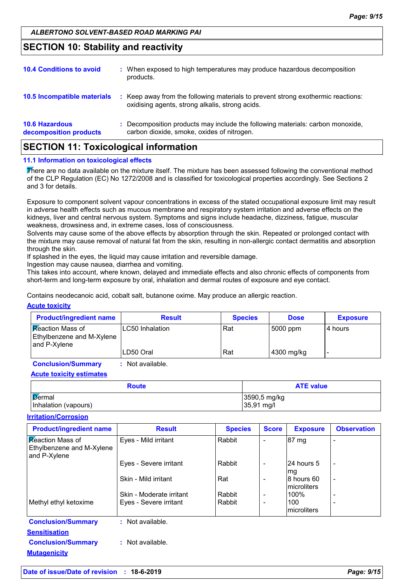### **SECTION 10: Stability and reactivity**

| <b>10.6 Hazardous</b><br>decomposition products | : Decomposition products may include the following materials: carbon monoxide,<br>carbon dioxide, smoke, oxides of nitrogen.        |
|-------------------------------------------------|-------------------------------------------------------------------------------------------------------------------------------------|
| 10.5 Incompatible materials                     | : Keep away from the following materials to prevent strong exothermic reactions:<br>oxidising agents, strong alkalis, strong acids. |
| <b>10.4 Conditions to avoid</b>                 | : When exposed to high temperatures may produce hazardous decomposition<br>products.                                                |

### **SECTION 11: Toxicological information**

#### **11.1 Information on toxicological effects**

There are no data available on the mixture itself. The mixture has been assessed following the conventional method of the CLP Regulation (EC) No 1272/2008 and is classified for toxicological properties accordingly. See Sections 2 and 3 for details.

Exposure to component solvent vapour concentrations in excess of the stated occupational exposure limit may result in adverse health effects such as mucous membrane and respiratory system irritation and adverse effects on the kidneys, liver and central nervous system. Symptoms and signs include headache, dizziness, fatigue, muscular weakness, drowsiness and, in extreme cases, loss of consciousness.

Solvents may cause some of the above effects by absorption through the skin. Repeated or prolonged contact with the mixture may cause removal of natural fat from the skin, resulting in non-allergic contact dermatitis and absorption through the skin.

If splashed in the eyes, the liquid may cause irritation and reversible damage.

Ingestion may cause nausea, diarrhea and vomiting.

This takes into account, where known, delayed and immediate effects and also chronic effects of components from short-term and long-term exposure by oral, inhalation and dermal routes of exposure and eye contact.

Contains neodecanoic acid, cobalt salt, butanone oxime. May produce an allergic reaction.

#### **Acute toxicity**

| <b>Product/ingredient name</b>                                              | <b>Result</b>           | <b>Species</b> | <b>Dose</b> | <b>Exposure</b> |
|-----------------------------------------------------------------------------|-------------------------|----------------|-------------|-----------------|
| <b>Reaction Mass of</b><br><b>Ethylbenzene and M-Xylene</b><br>and P-Xylene | <b>ILC50</b> Inhalation | Rat            | 5000 ppm    | I4 hours        |
|                                                                             | ILD50 Oral              | Rat            | 4300 mg/kg  |                 |

**Conclusion/Summary :** Not available.

**Acute toxicity estimates**

| <b>Route</b>         | <b>ATE value</b>     |  |  |
|----------------------|----------------------|--|--|
| Dermal               | 3590,5 mg/kg         |  |  |
| Inhalation (vapours) | $35,91 \text{ mg/l}$ |  |  |

#### **Irritation/Corrosion**

| <b>Product/ingredient name</b>                                       | <b>Result</b>            | <b>Species</b> | <b>Score</b>             | <b>Exposure</b>            | <b>Observation</b>       |
|----------------------------------------------------------------------|--------------------------|----------------|--------------------------|----------------------------|--------------------------|
| <b>Reaction Mass of</b><br>Ethylbenzene and M-Xylene<br>and P-Xylene | Eyes - Mild irritant     | Rabbit         | ۰                        | 87 mg                      |                          |
|                                                                      | Eyes - Severe irritant   | Rabbit         | $\qquad \qquad -$        | l24 hours 5<br>mg          |                          |
|                                                                      | Skin - Mild irritant     | Rat            | $\overline{\phantom{a}}$ | 8 hours 60<br>microliters  | $\overline{\phantom{a}}$ |
|                                                                      | Skin - Moderate irritant | Rabbit         | $\overline{\phantom{a}}$ | 100%                       |                          |
| Methyl ethyl ketoxime                                                | Eyes - Severe irritant   | Rabbit         | $\overline{\phantom{a}}$ | 100<br><b>Imicroliters</b> |                          |
| <b>Conclusion/Summary</b>                                            | : Not available.         |                |                          |                            |                          |
| <b>Sensitisation</b>                                                 |                          |                |                          |                            |                          |
| <b>Conclusion/Summary</b><br><b>Mutagenicity</b>                     | : Not available.         |                |                          |                            |                          |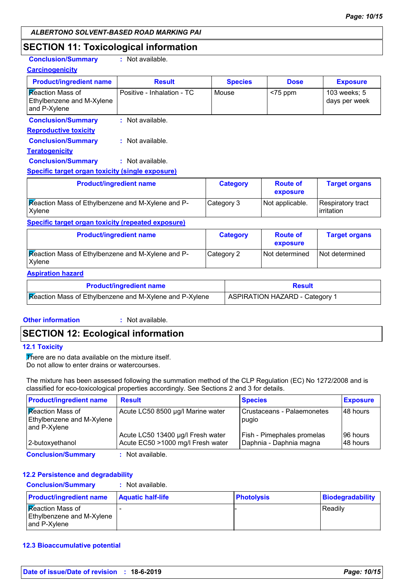### **SECTION 11: Toxicological information**

**Conclusion/Summary :** Not available.

| <b>Carcinogenicity</b>                                        |                            |  |                 |                             |                                 |  |
|---------------------------------------------------------------|----------------------------|--|-----------------|-----------------------------|---------------------------------|--|
| <b>Product/ingredient name</b>                                | <b>Result</b>              |  | <b>Species</b>  | <b>Dose</b>                 | <b>Exposure</b>                 |  |
| Reaction Mass of<br>Ethylbenzene and M-Xylene<br>and P-Xylene | Positive - Inhalation - TC |  | Mouse           | $<$ 75 ppm                  | 103 weeks; 5<br>days per week   |  |
| <b>Conclusion/Summary</b>                                     | : Not available.           |  |                 |                             |                                 |  |
| <b>Reproductive toxicity</b>                                  |                            |  |                 |                             |                                 |  |
| <b>Conclusion/Summary</b>                                     | : Not available.           |  |                 |                             |                                 |  |
| <b>Teratogenicity</b>                                         |                            |  |                 |                             |                                 |  |
| <b>Conclusion/Summary</b>                                     | : Not available.           |  |                 |                             |                                 |  |
| <b>Specific target organ toxicity (single exposure)</b>       |                            |  |                 |                             |                                 |  |
| <b>Product/ingredient name</b>                                |                            |  | <b>Category</b> | <b>Route of</b><br>exposure | <b>Target organs</b>            |  |
| Reaction Mass of Ethylbenzene and M-Xylene and P-<br>Xylene   |                            |  | Category 3      | Not applicable.             | Respiratory tract<br>irritation |  |
| <b>Specific target organ toxicity (repeated exposure)</b>     |                            |  |                 |                             |                                 |  |
| <b>Product/ingredient name</b>                                |                            |  | <b>Category</b> | <b>Route of</b><br>exposure | <b>Target organs</b>            |  |
| Reaction Mass of Ethylbenzene and M-Xylene and P-<br>Xylene   |                            |  | Category 2      | Not determined              | Not determined                  |  |
| <b>Aspiration hazard</b>                                      |                            |  |                 |                             |                                 |  |
| <b>Product/ingredient name</b>                                |                            |  |                 | <b>Result</b>               |                                 |  |
| Meastics Mean of Ethiopian and M. Volance and D. Volan        |                            |  |                 |                             |                                 |  |

| <b>Productingredient name</b>                           | Result                         |
|---------------------------------------------------------|--------------------------------|
| Reaction Mass of Ethylbenzene and M-Xylene and P-Xylene | ASPIRATION HAZARD - Category 1 |

#### **Other information :**

: Not available.

### **SECTION 12: Ecological information**

#### **12.1 Toxicity**

There are no data available on the mixture itself. Do not allow to enter drains or watercourses.

The mixture has been assessed following the summation method of the CLP Regulation (EC) No 1272/2008 and is classified for eco-toxicological properties accordingly. See Sections 2 and 3 for details.

| <b>Product/ingredient name</b>                                       | <b>Result</b>                                                          | <b>Species</b>                                        | <b>Exposure</b>      |
|----------------------------------------------------------------------|------------------------------------------------------------------------|-------------------------------------------------------|----------------------|
| <b>Reaction Mass of</b><br>Ethylbenzene and M-Xylene<br>and P-Xylene | Acute LC50 8500 µg/l Marine water                                      | Crustaceans - Palaemonetes<br>pugio                   | 48 hours             |
| 2-butoxyethanol                                                      | Acute LC50 13400 µg/l Fresh water<br>Acute EC50 >1000 mg/l Fresh water | Fish - Pimephales promelas<br>Daphnia - Daphnia magna | 96 hours<br>48 hours |
| <b>Conclusion/Summary</b>                                            | : Not available.                                                       |                                                       |                      |

#### **12.2 Persistence and degradability**

**Conclusion/Summary :** Not available.

| <b>Product/ingredient name</b>                                       | <b>Aquatic half-life</b> | <b>Photolysis</b> | Biodegradability |
|----------------------------------------------------------------------|--------------------------|-------------------|------------------|
| <b>Reaction Mass of</b><br>Ethylbenzene and M-Xylene<br>and P-Xvlene |                          |                   | <b>Readily</b>   |

#### **12.3 Bioaccumulative potential**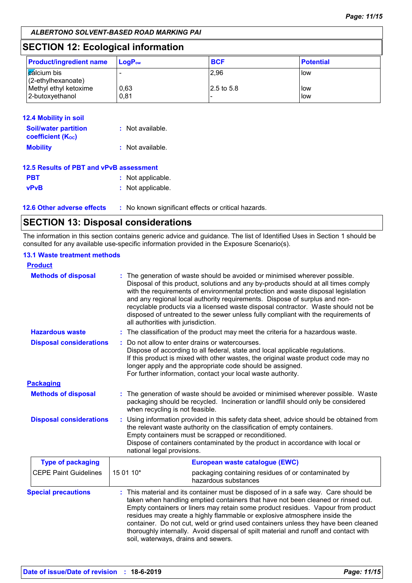### **SECTION 12: Ecological information**

| <b>Product/ingredient name</b>               | $\mathsf{LoaP}_\mathsf{ow}$ | <b>BCF</b>              | <b>Potential</b>      |
|----------------------------------------------|-----------------------------|-------------------------|-----------------------|
| <b>c</b> alcium bis<br>$(2$ -ethylhexanoate) |                             | 2,96                    | <b>I</b> low          |
| Methyl ethyl ketoxime<br>2-butoxyethanol     | 0,63<br>0.81                | $ 2.5 \text{ to } 5.8 $ | <b>I</b> low<br>l low |

| 12.4 Mobility in soil                                   |                  |
|---------------------------------------------------------|------------------|
| <b>Soil/water partition</b><br><b>coefficient (Koc)</b> | : Not available. |
| <b>Mobility</b>                                         | : Not available. |
| 12.5 Results of PBT and vPvB assessment                 |                  |
|                                                         |                  |

| <b>PBT</b>  | : Not applicable. |
|-------------|-------------------|
| <b>vPvB</b> | : Not applicable. |

**12.6 Other adverse effects** : No known significant effects or critical hazards.

### **SECTION 13: Disposal considerations**

The information in this section contains generic advice and guidance. The list of Identified Uses in Section 1 should be consulted for any available use-specific information provided in the Exposure Scenario(s).

#### **13.1 Waste treatment methods**

| <b>Product</b>                 |                                                                                                                                                                                                                                                                                                                                                                                                                                                                                                                                                               |  |  |  |
|--------------------------------|---------------------------------------------------------------------------------------------------------------------------------------------------------------------------------------------------------------------------------------------------------------------------------------------------------------------------------------------------------------------------------------------------------------------------------------------------------------------------------------------------------------------------------------------------------------|--|--|--|
| <b>Methods of disposal</b>     | : The generation of waste should be avoided or minimised wherever possible.<br>Disposal of this product, solutions and any by-products should at all times comply<br>with the requirements of environmental protection and waste disposal legislation<br>and any regional local authority requirements. Dispose of surplus and non-<br>recyclable products via a licensed waste disposal contractor. Waste should not be<br>disposed of untreated to the sewer unless fully compliant with the requirements of<br>all authorities with jurisdiction.          |  |  |  |
| <b>Hazardous waste</b>         | : The classification of the product may meet the criteria for a hazardous waste.                                                                                                                                                                                                                                                                                                                                                                                                                                                                              |  |  |  |
| <b>Disposal considerations</b> | Do not allow to enter drains or watercourses.<br>÷.<br>Dispose of according to all federal, state and local applicable regulations.<br>If this product is mixed with other wastes, the original waste product code may no<br>longer apply and the appropriate code should be assigned.<br>For further information, contact your local waste authority.                                                                                                                                                                                                        |  |  |  |
| <b>Packaging</b>               |                                                                                                                                                                                                                                                                                                                                                                                                                                                                                                                                                               |  |  |  |
| <b>Methods of disposal</b>     | : The generation of waste should be avoided or minimised wherever possible. Waste<br>packaging should be recycled. Incineration or landfill should only be considered<br>when recycling is not feasible.                                                                                                                                                                                                                                                                                                                                                      |  |  |  |
| <b>Disposal considerations</b> | Using information provided in this safety data sheet, advice should be obtained from<br>the relevant waste authority on the classification of empty containers.<br>Empty containers must be scrapped or reconditioned.<br>Dispose of containers contaminated by the product in accordance with local or<br>national legal provisions.                                                                                                                                                                                                                         |  |  |  |
| <b>Type of packaging</b>       | European waste catalogue (EWC)                                                                                                                                                                                                                                                                                                                                                                                                                                                                                                                                |  |  |  |
| <b>CEPE Paint Guidelines</b>   | 15 01 10*<br>packaging containing residues of or contaminated by<br>hazardous substances                                                                                                                                                                                                                                                                                                                                                                                                                                                                      |  |  |  |
| <b>Special precautions</b>     | : This material and its container must be disposed of in a safe way. Care should be<br>taken when handling emptied containers that have not been cleaned or rinsed out.<br>Empty containers or liners may retain some product residues. Vapour from product<br>residues may create a highly flammable or explosive atmosphere inside the<br>container. Do not cut, weld or grind used containers unless they have been cleaned<br>thoroughly internally. Avoid dispersal of spilt material and runoff and contact with<br>soil, waterways, drains and sewers. |  |  |  |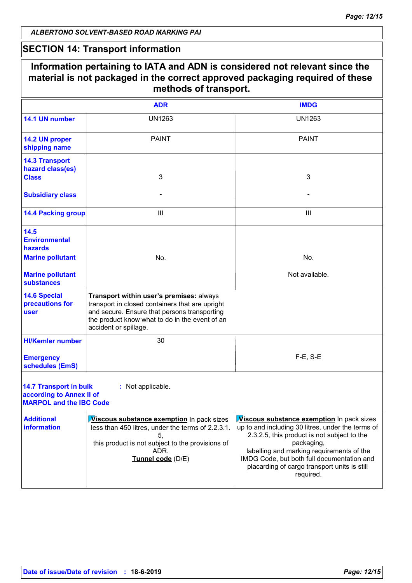### **SECTION 14: Transport information**

|                                                                                             | <b>ADR</b>                                                                                                                                                                                                             | <b>IMDG</b>                                                                                                                                                                                                                                                                                                                |  |  |
|---------------------------------------------------------------------------------------------|------------------------------------------------------------------------------------------------------------------------------------------------------------------------------------------------------------------------|----------------------------------------------------------------------------------------------------------------------------------------------------------------------------------------------------------------------------------------------------------------------------------------------------------------------------|--|--|
| 14.1 UN number                                                                              | <b>UN1263</b>                                                                                                                                                                                                          | <b>UN1263</b>                                                                                                                                                                                                                                                                                                              |  |  |
| 14.2 UN proper<br>shipping name                                                             | <b>PAINT</b>                                                                                                                                                                                                           | <b>PAINT</b>                                                                                                                                                                                                                                                                                                               |  |  |
| <b>14.3 Transport</b><br>hazard class(es)<br><b>Class</b>                                   | 3                                                                                                                                                                                                                      | 3                                                                                                                                                                                                                                                                                                                          |  |  |
| <b>Subsidiary class</b>                                                                     |                                                                                                                                                                                                                        |                                                                                                                                                                                                                                                                                                                            |  |  |
| <b>14.4 Packing group</b>                                                                   | $\mathbf{III}$                                                                                                                                                                                                         | $\mathbf{III}$                                                                                                                                                                                                                                                                                                             |  |  |
| 14.5<br><b>Environmental</b><br>hazards<br><b>Marine pollutant</b>                          | No.                                                                                                                                                                                                                    | No.                                                                                                                                                                                                                                                                                                                        |  |  |
| <b>Marine pollutant</b><br><b>substances</b>                                                |                                                                                                                                                                                                                        | Not available.                                                                                                                                                                                                                                                                                                             |  |  |
| <b>14.6 Special</b><br>precautions for<br><b>user</b>                                       | Transport within user's premises: always<br>transport in closed containers that are upright<br>and secure. Ensure that persons transporting<br>the product know what to do in the event of an<br>accident or spillage. |                                                                                                                                                                                                                                                                                                                            |  |  |
| <b>HI/Kemler number</b>                                                                     | 30                                                                                                                                                                                                                     |                                                                                                                                                                                                                                                                                                                            |  |  |
| <b>Emergency</b><br>schedules (EmS)                                                         |                                                                                                                                                                                                                        | $F-E$ , S-E                                                                                                                                                                                                                                                                                                                |  |  |
| <b>14.7 Transport in bulk</b><br>according to Annex II of<br><b>MARPOL and the IBC Code</b> | : Not applicable.                                                                                                                                                                                                      |                                                                                                                                                                                                                                                                                                                            |  |  |
| <b>Additional</b><br><b>information</b>                                                     | <b>Viscous substance exemption</b> In pack sizes<br>less than 450 litres, under the terms of 2.2.3.1.<br>5.<br>this product is not subject to the provisions of<br>ADR.<br>Tunnel code (D/E)                           | <b>Viscous substance exemption</b> In pack sizes<br>up to and including 30 litres, under the terms of<br>2.3.2.5, this product is not subject to the<br>packaging,<br>labelling and marking requirements of the<br>IMDG Code, but both full documentation and<br>placarding of cargo transport units is still<br>required. |  |  |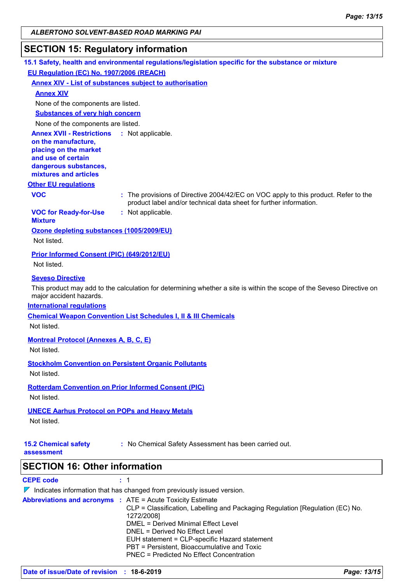### **SECTION 15: Regulatory information**

|                                                                                                                                                                            | 15.1 Safety, health and environmental regulations/legislation specific for the substance or mixture                                                                                                 |
|----------------------------------------------------------------------------------------------------------------------------------------------------------------------------|-----------------------------------------------------------------------------------------------------------------------------------------------------------------------------------------------------|
| EU Regulation (EC) No. 1907/2006 (REACH)                                                                                                                                   |                                                                                                                                                                                                     |
|                                                                                                                                                                            | <b>Annex XIV - List of substances subject to authorisation</b>                                                                                                                                      |
| <b>Annex XIV</b>                                                                                                                                                           |                                                                                                                                                                                                     |
| None of the components are listed.                                                                                                                                         |                                                                                                                                                                                                     |
| <b>Substances of very high concern</b>                                                                                                                                     |                                                                                                                                                                                                     |
| None of the components are listed.                                                                                                                                         |                                                                                                                                                                                                     |
| <b>Annex XVII - Restrictions : Not applicable.</b><br>on the manufacture,<br>placing on the market<br>and use of certain<br>dangerous substances,<br>mixtures and articles |                                                                                                                                                                                                     |
| <b>Other EU regulations</b>                                                                                                                                                |                                                                                                                                                                                                     |
| <b>VOC</b>                                                                                                                                                                 | : The provisions of Directive 2004/42/EC on VOC apply to this product. Refer to the<br>product label and/or technical data sheet for further information.                                           |
| <b>VOC for Ready-for-Use</b><br><b>Mixture</b>                                                                                                                             | : Not applicable.                                                                                                                                                                                   |
| Ozone depleting substances (1005/2009/EU)<br>Not listed.                                                                                                                   |                                                                                                                                                                                                     |
| Prior Informed Consent (PIC) (649/2012/EU)                                                                                                                                 |                                                                                                                                                                                                     |
| Not listed.                                                                                                                                                                |                                                                                                                                                                                                     |
| <b>Seveso Directive</b><br>major accident hazards.<br><b>International regulations</b>                                                                                     | This product may add to the calculation for determining whether a site is within the scope of the Seveso Directive on<br><b>Chemical Weapon Convention List Schedules I, II &amp; III Chemicals</b> |
| Not listed.                                                                                                                                                                |                                                                                                                                                                                                     |
| <b>Montreal Protocol (Annexes A, B, C, E)</b><br>Not listed.                                                                                                               |                                                                                                                                                                                                     |
| Not listed.                                                                                                                                                                | <b>Stockholm Convention on Persistent Organic Pollutants</b>                                                                                                                                        |
| Not listed.                                                                                                                                                                | <b>Rotterdam Convention on Prior Informed Consent (PIC)</b>                                                                                                                                         |
| <b>UNECE Aarhus Protocol on POPs and Heavy Metals</b>                                                                                                                      |                                                                                                                                                                                                     |
| Not listed.                                                                                                                                                                |                                                                                                                                                                                                     |
| <b>15.2 Chemical safety</b><br>assessment                                                                                                                                  | : No Chemical Safety Assessment has been carried out.                                                                                                                                               |
| <b>SECTION 16: Other information</b>                                                                                                                                       |                                                                                                                                                                                                     |
|                                                                                                                                                                            |                                                                                                                                                                                                     |

**CEPE code :** 1

|  |  | Indicates information that has changed from previously issued version. |  |  |  |  |
|--|--|------------------------------------------------------------------------|--|--|--|--|
|--|--|------------------------------------------------------------------------|--|--|--|--|

| <b>Abbreviations and acronyms : ATE = Acute Toxicity Estimate</b> | CLP = Classification, Labelling and Packaging Regulation [Regulation (EC) No.<br>1272/2008]<br>DMEL = Derived Minimal Effect Level<br>DNEL = Derived No Effect Level<br>EUH statement = CLP-specific Hazard statement<br>PBT = Persistent, Bioaccumulative and Toxic<br>PNEC = Predicted No Effect Concentration |
|-------------------------------------------------------------------|------------------------------------------------------------------------------------------------------------------------------------------------------------------------------------------------------------------------------------------------------------------------------------------------------------------|
|                                                                   |                                                                                                                                                                                                                                                                                                                  |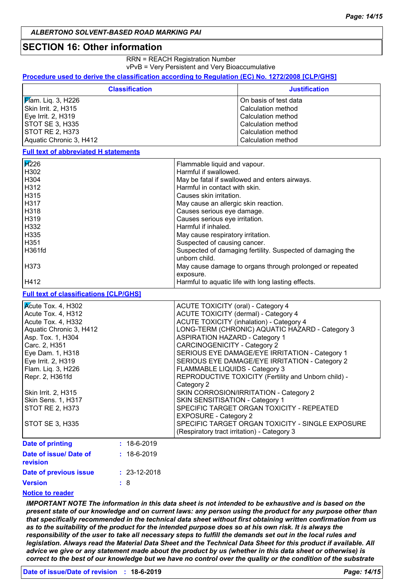#### **SECTION 16: Other information**

RRN = REACH Registration Number vPvB = Very Persistent and Very Bioaccumulative

**Procedure used to derive the classification according to Regulation (EC) No. 1272/2008 [CLP/GHS]**

|                                               | <b>Classification</b> |                                             | <b>Justification</b>                                       |
|-----------------------------------------------|-----------------------|---------------------------------------------|------------------------------------------------------------|
| Mam. Liq. 3, H226                             |                       | On basis of test data                       |                                                            |
| Skin Irrit. 2, H315                           |                       |                                             | Calculation method                                         |
| Eye Irrit. 2, H319                            |                       |                                             | Calculation method                                         |
| <b>STOT SE 3, H335</b>                        |                       |                                             | Calculation method                                         |
| STOT RE 2, H373                               |                       |                                             | Calculation method                                         |
| Aquatic Chronic 3, H412                       |                       |                                             | Calculation method                                         |
| <b>Full text of abbreviated H statements</b>  |                       |                                             |                                                            |
| $\cancel{H}226$                               |                       | Flammable liquid and vapour.                |                                                            |
| H302                                          |                       | Harmful if swallowed.                       |                                                            |
| H304                                          |                       |                                             | May be fatal if swallowed and enters airways.              |
| H312                                          |                       | Harmful in contact with skin.               |                                                            |
| H315                                          |                       | Causes skin irritation.                     |                                                            |
| H317                                          |                       | May cause an allergic skin reaction.        |                                                            |
| H318                                          |                       | Causes serious eye damage.                  |                                                            |
| H319                                          |                       | Causes serious eye irritation.              |                                                            |
| H332                                          |                       | Harmful if inhaled.                         |                                                            |
| H335                                          |                       | May cause respiratory irritation.           |                                                            |
| H351                                          |                       | Suspected of causing cancer.                |                                                            |
| H361fd                                        |                       |                                             | Suspected of damaging fertility. Suspected of damaging the |
|                                               |                       | unborn child.                               |                                                            |
| H373                                          |                       |                                             | May cause damage to organs through prolonged or repeated   |
|                                               |                       | exposure.                                   |                                                            |
| H412                                          |                       |                                             | Harmful to aquatic life with long lasting effects.         |
| <b>Full text of classifications [CLP/GHS]</b> |                       |                                             |                                                            |
| Kcute Tox. 4, H302                            |                       | ACUTE TOXICITY (oral) - Category 4          |                                                            |
| Acute Tox. 4, H312                            |                       |                                             | ACUTE TOXICITY (dermal) - Category 4                       |
| Acute Tox. 4, H332                            |                       |                                             | <b>ACUTE TOXICITY (inhalation) - Category 4</b>            |
| Aquatic Chronic 3, H412                       |                       |                                             | LONG-TERM (CHRONIC) AQUATIC HAZARD - Category 3            |
| Asp. Tox. 1, H304                             |                       | <b>ASPIRATION HAZARD - Category 1</b>       |                                                            |
| Carc. 2, H351                                 |                       | <b>CARCINOGENICITY - Category 2</b>         |                                                            |
| Eye Dam. 1, H318                              |                       |                                             | SERIOUS EYE DAMAGE/EYE IRRITATION - Category 1             |
| Eye Irrit. 2, H319                            |                       |                                             | SERIOUS EYE DAMAGE/EYE IRRITATION - Category 2             |
| Flam. Liq. 3, H226                            |                       | FLAMMABLE LIQUIDS - Category 3              |                                                            |
| Repr. 2, H361fd                               |                       |                                             | REPRODUCTIVE TOXICITY (Fertility and Unborn child) -       |
|                                               |                       | Category 2                                  |                                                            |
| Skin Irrit. 2, H315                           |                       |                                             | SKIN CORROSION/IRRITATION - Category 2                     |
| Skin Sens. 1, H317                            |                       | SKIN SENSITISATION - Category 1             |                                                            |
| <b>STOT RE 2, H373</b>                        |                       | SPECIFIC TARGET ORGAN TOXICITY - REPEATED   |                                                            |
|                                               |                       | <b>EXPOSURE - Category 2</b>                |                                                            |
| <b>STOT SE 3, H335</b>                        |                       |                                             | SPECIFIC TARGET ORGAN TOXICITY - SINGLE EXPOSURE           |
|                                               |                       | (Respiratory tract irritation) - Category 3 |                                                            |
| <b>Date of printing</b>                       | $: 18-6-2019$         |                                             |                                                            |
| Date of issue/ Date of                        | $: 18-6-2019$         |                                             |                                                            |
| revision                                      |                       |                                             |                                                            |
| Date of previous issue                        | $: 23-12-2018$        |                                             |                                                            |
|                                               |                       |                                             |                                                            |
| <b>Version</b>                                | :8                    |                                             |                                                            |

#### **Notice to reader**

*IMPORTANT NOTE The information in this data sheet is not intended to be exhaustive and is based on the present state of our knowledge and on current laws: any person using the product for any purpose other than that specifically recommended in the technical data sheet without first obtaining written confirmation from us as to the suitability of the product for the intended purpose does so at his own risk. It is always the responsibility of the user to take all necessary steps to fulfill the demands set out in the local rules and legislation. Always read the Material Data Sheet and the Technical Data Sheet for this product if available. All advice we give or any statement made about the product by us (whether in this data sheet or otherwise) is correct to the best of our knowledge but we have no control over the quality or the condition of the substrate*